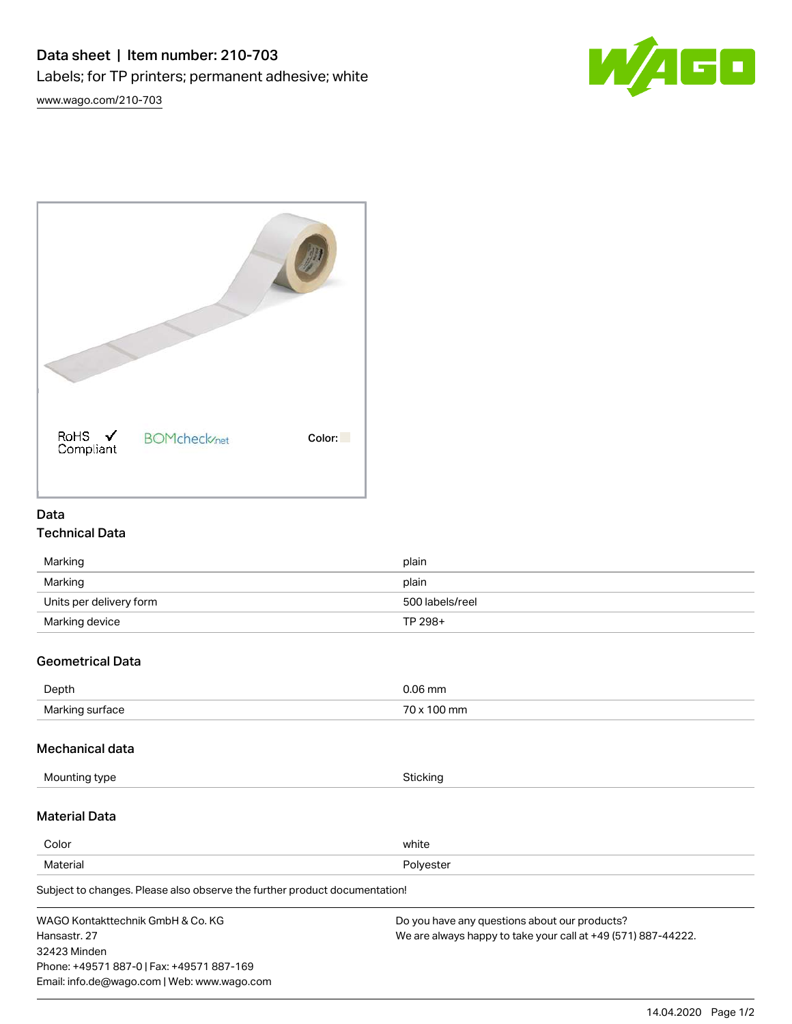



## Data

# Technical Data

| Marking                 | plain           |
|-------------------------|-----------------|
| Marking                 | plain           |
| Units per delivery form | 500 labels/reel |
| Marking device          | TP 298+         |

# Geometrical Data

| Depth           | ).06 mm     |
|-----------------|-------------|
| Marking surface | 70 x 100 mm |

## Mechanical data

| Mounting type                                                              | Sticking                                      |  |
|----------------------------------------------------------------------------|-----------------------------------------------|--|
| <b>Material Data</b>                                                       |                                               |  |
| Color                                                                      | white                                         |  |
| Material                                                                   | Polyester                                     |  |
| Subject to changes. Please also observe the further product documentation! |                                               |  |
| WAGO Kontakttechnik GmbH & Co. KG                                          | Do you have any questions about our products? |  |

Hansastr. 27 32423 Minden Phone: +49571 887-0 | Fax: +49571 887-169 Email: info.de@wago.com | Web: www.wago.com

Do you have any questions about our products? We are always happy to take your call at +49 (571) 887-44222.